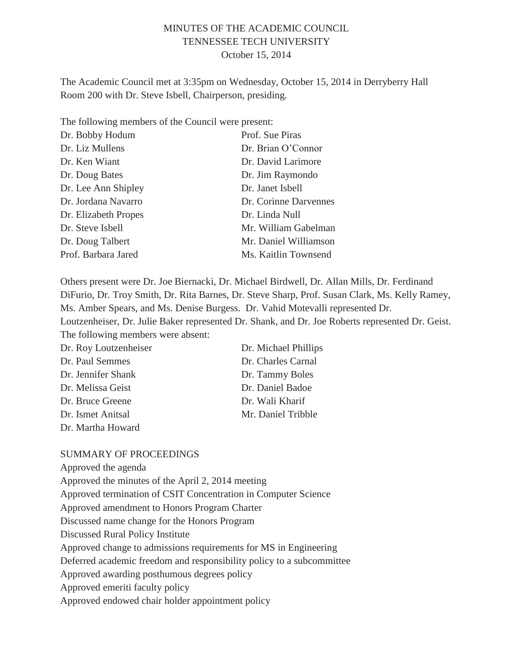# MINUTES OF THE ACADEMIC COUNCIL TENNESSEE TECH UNIVERSITY October 15, 2014

The Academic Council met at 3:35pm on Wednesday, October 15, 2014 in Derryberry Hall Room 200 with Dr. Steve Isbell, Chairperson, presiding.

The following members of the Council were present:

| Dr. Bobby Hodum      | Prof. Sue Piras       |
|----------------------|-----------------------|
| Dr. Liz Mullens      | Dr. Brian O'Connor    |
| Dr. Ken Wiant        | Dr. David Larimore    |
| Dr. Doug Bates       | Dr. Jim Raymondo      |
| Dr. Lee Ann Shipley  | Dr. Janet Isbell      |
| Dr. Jordana Navarro  | Dr. Corinne Darvennes |
| Dr. Elizabeth Propes | Dr. Linda Null        |
| Dr. Steve Isbell     | Mr. William Gabelman  |
| Dr. Doug Talbert     | Mr. Daniel Williamson |
| Prof. Barbara Jared  | Ms. Kaitlin Townsend  |

Others present were Dr. Joe Biernacki, Dr. Michael Birdwell, Dr. Allan Mills, Dr. Ferdinand DiFurio, Dr. Troy Smith, Dr. Rita Barnes, Dr. Steve Sharp, Prof. Susan Clark, Ms. Kelly Ramey, Ms. Amber Spears, and Ms. Denise Burgess. Dr. Vahid Motevalli represented Dr. Loutzenheiser, Dr. Julie Baker represented Dr. Shank, and Dr. Joe Roberts represented Dr. Geist. The following members were absent:

| Dr. Roy Loutzenheiser | Dr. Michael Phillips |
|-----------------------|----------------------|
| Dr. Paul Semmes       | Dr. Charles Carnal   |
| Dr. Jennifer Shank    | Dr. Tammy Boles      |
| Dr. Melissa Geist     | Dr. Daniel Badoe     |
| Dr. Bruce Greene      | Dr. Wali Kharif      |
| Dr. Ismet Anitsal     | Mr. Daniel Tribble   |
| Dr. Martha Howard     |                      |

#### SUMMARY OF PROCEEDINGS

Approved the agenda Approved the minutes of the April 2, 2014 meeting Approved termination of CSIT Concentration in Computer Science Approved amendment to Honors Program Charter Discussed name change for the Honors Program Discussed Rural Policy Institute Approved change to admissions requirements for MS in Engineering Deferred academic freedom and responsibility policy to a subcommittee Approved awarding posthumous degrees policy Approved emeriti faculty policy Approved endowed chair holder appointment policy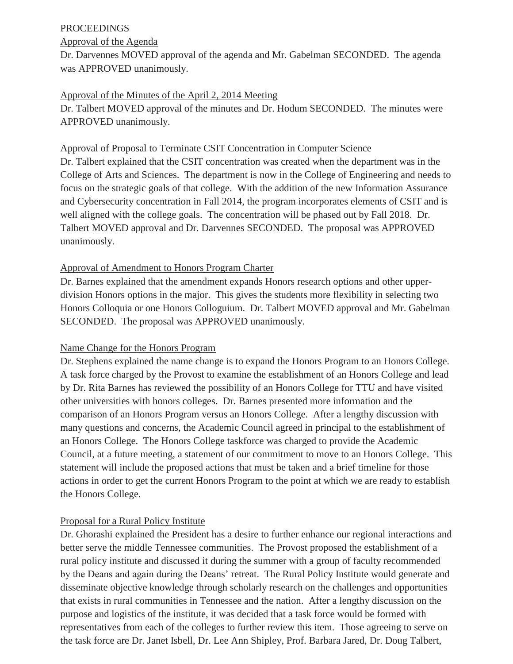## PROCEEDINGS

#### Approval of the Agenda

Dr. Darvennes MOVED approval of the agenda and Mr. Gabelman SECONDED. The agenda was APPROVED unanimously.

### Approval of the Minutes of the April 2, 2014 Meeting

Dr. Talbert MOVED approval of the minutes and Dr. Hodum SECONDED. The minutes were APPROVED unanimously.

### Approval of Proposal to Terminate CSIT Concentration in Computer Science

Dr. Talbert explained that the CSIT concentration was created when the department was in the College of Arts and Sciences. The department is now in the College of Engineering and needs to focus on the strategic goals of that college. With the addition of the new Information Assurance and Cybersecurity concentration in Fall 2014, the program incorporates elements of CSIT and is well aligned with the college goals. The concentration will be phased out by Fall 2018. Dr. Talbert MOVED approval and Dr. Darvennes SECONDED. The proposal was APPROVED unanimously.

## Approval of Amendment to Honors Program Charter

Dr. Barnes explained that the amendment expands Honors research options and other upperdivision Honors options in the major. This gives the students more flexibility in selecting two Honors Colloquia or one Honors Colloguium. Dr. Talbert MOVED approval and Mr. Gabelman SECONDED. The proposal was APPROVED unanimously.

# Name Change for the Honors Program

Dr. Stephens explained the name change is to expand the Honors Program to an Honors College. A task force charged by the Provost to examine the establishment of an Honors College and lead by Dr. Rita Barnes has reviewed the possibility of an Honors College for TTU and have visited other universities with honors colleges. Dr. Barnes presented more information and the comparison of an Honors Program versus an Honors College. After a lengthy discussion with many questions and concerns, the Academic Council agreed in principal to the establishment of an Honors College. The Honors College taskforce was charged to provide the Academic Council, at a future meeting, a statement of our commitment to move to an Honors College. This statement will include the proposed actions that must be taken and a brief timeline for those actions in order to get the current Honors Program to the point at which we are ready to establish the Honors College.

# Proposal for a Rural Policy Institute

Dr. Ghorashi explained the President has a desire to further enhance our regional interactions and better serve the middle Tennessee communities. The Provost proposed the establishment of a rural policy institute and discussed it during the summer with a group of faculty recommended by the Deans and again during the Deans' retreat. The Rural Policy Institute would generate and disseminate objective knowledge through scholarly research on the challenges and opportunities that exists in rural communities in Tennessee and the nation. After a lengthy discussion on the purpose and logistics of the institute, it was decided that a task force would be formed with representatives from each of the colleges to further review this item. Those agreeing to serve on the task force are Dr. Janet Isbell, Dr. Lee Ann Shipley, Prof. Barbara Jared, Dr. Doug Talbert,